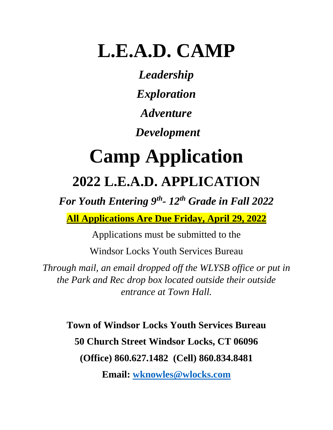## **L.E.A.D. CAMP**

*Leadership Exploration Adventure Development* 

# **Camp Application 2022 L.E.A.D. APPLICATION**

*For Youth Entering 9th - 12th Grade in Fall 2022*

**All Applications Are Due Friday, April 29, 2022**

Applications must be submitted to the

Windsor Locks Youth Services Bureau

*Through mail, an email dropped off the WLYSB office or put in the Park and Rec drop box located outside their outside entrance at Town Hall.*

**Town of Windsor Locks Youth Services Bureau 50 Church Street Windsor Locks, CT 06096 (Office) 860.627.1482 (Cell) 860.834.8481**

**Email: [wknowles@wlocks.com](mailto:wknowles@wlocks.com)**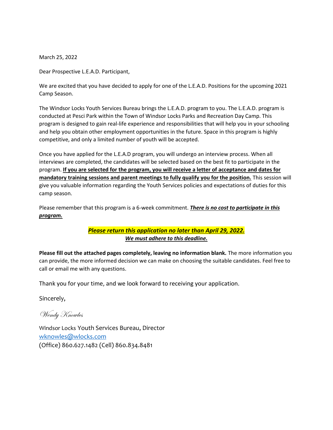March 25, 2022

Dear Prospective L.E.A.D. Participant,

We are excited that you have decided to apply for one of the L.E.A.D. Positions for the upcoming 2021 Camp Season.

The Windsor Locks Youth Services Bureau brings the L.E.A.D. program to you. The L.E.A.D. program is conducted at Pesci Park within the Town of Windsor Locks Parks and Recreation Day Camp. This program is designed to gain real-life experience and responsibilities that will help you in your schooling and help you obtain other employment opportunities in the future. Space in this program is highly competitive, and only a limited number of youth will be accepted.

Once you have applied for the L.E.A.D program, you will undergo an interview process. When all interviews are completed, the candidates will be selected based on the best fit to participate in the program. **If you are selected for the program, you will receive a letter of acceptance and dates for mandatory training sessions and parent meetings to fully qualify you for the position.** This session will give you valuable information regarding the Youth Services policies and expectations of duties for this camp season.

Please remember that this program is a 6-week commitment. *There is no cost to participate in this program.*

#### *Please return this application no later than April 29, 2022. We must adhere to this deadline.*

**Please fill out the attached pages completely, leaving no information blank.** The more information you can provide, the more informed decision we can make on choosing the suitable candidates. Feel free to call or email me with any questions.

Thank you for your time, and we look forward to receiving your application.

Sincerely,

Wendy Knowles

Windsor Locks Youth Services Bureau, Director [wknowles@wlocks.com](mailto:wknowles@wlocks.com) (Office) 860.627.1482 (Cell) 860.834.8481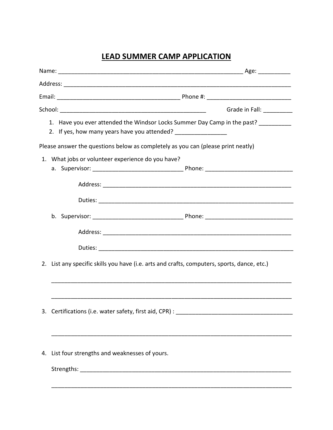### **LEAD SUMMER CAMP APPLICATION**

|                                                                                                                                                      |                                                                                             | Grade in Fall: ________ |  |
|------------------------------------------------------------------------------------------------------------------------------------------------------|---------------------------------------------------------------------------------------------|-------------------------|--|
| 1. Have you ever attended the Windsor Locks Summer Day Camp in the past? ________<br>2. If yes, how many years have you attended? __________________ |                                                                                             |                         |  |
|                                                                                                                                                      | Please answer the questions below as completely as you can (please print neatly)            |                         |  |
|                                                                                                                                                      | 1. What jobs or volunteer experience do you have?                                           |                         |  |
|                                                                                                                                                      |                                                                                             |                         |  |
|                                                                                                                                                      |                                                                                             |                         |  |
|                                                                                                                                                      |                                                                                             |                         |  |
|                                                                                                                                                      |                                                                                             |                         |  |
|                                                                                                                                                      |                                                                                             |                         |  |
|                                                                                                                                                      | 2. List any specific skills you have (i.e. arts and crafts, computers, sports, dance, etc.) |                         |  |
|                                                                                                                                                      |                                                                                             |                         |  |
|                                                                                                                                                      |                                                                                             |                         |  |
|                                                                                                                                                      |                                                                                             |                         |  |
|                                                                                                                                                      | 4. List four strengths and weaknesses of yours.                                             |                         |  |
|                                                                                                                                                      |                                                                                             |                         |  |
|                                                                                                                                                      |                                                                                             |                         |  |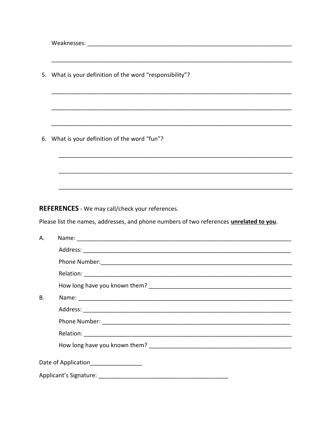5. What is your definition of the word "responsibility"? 6. What is your definition of the word "fun"? **REFERENCES** - We may call/check your references. Please list the names, addresses, and phone numbers of two references unrelated to you. Name: We have a state of the state of the state of the state of the state of the state of the state of the state of the state of the state of the state of the state of the state of the state of the state of the state of th A. Address: Analysis and the contract of the contract of the contract of the contract of the contract of the contract of the contract of the contract of the contract of the contract of the contract of the contract of the cont How long have you known them? **B.** Date of Application\_\_\_\_\_\_\_\_\_\_\_\_\_\_\_\_\_\_